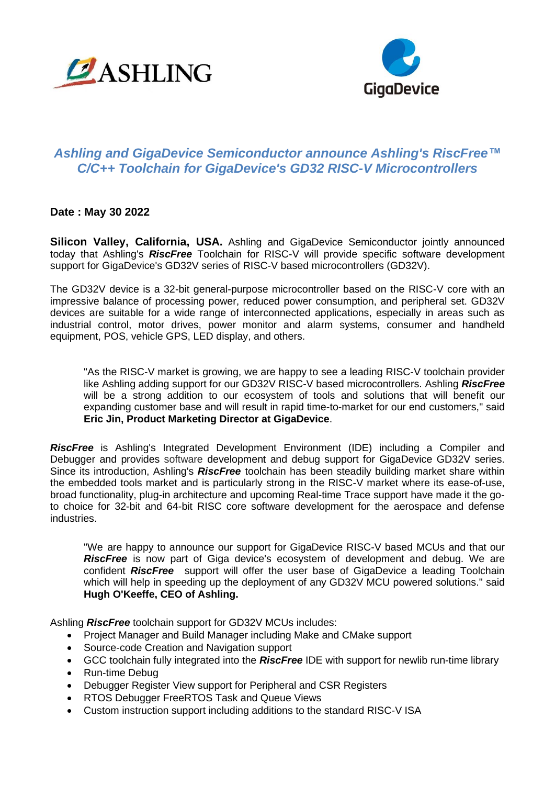



## *Ashling and GigaDevice Semiconductor announce Ashling's RiscFree™ C/C++ Toolchain for GigaDevice's GD32 RISC-V Microcontrollers*

**Date : May 30 2022** 

**Silicon Valley, California, USA.** Ashling and GigaDevice Semiconductor jointly announced today that Ashling's *RiscFree* Toolchain for RISC-V will provide specific software development support for GigaDevice's GD32V series of RISC-V based microcontrollers (GD32V).

The GD32V device is a 32-bit general-purpose microcontroller based on the RISC-V core with an impressive balance of processing power, reduced power consumption, and peripheral set. GD32V devices are suitable for a wide range of interconnected applications, especially in areas such as industrial control, motor drives, power monitor and alarm systems, consumer and handheld equipment, POS, vehicle GPS, LED display, and others.

"As the RISC-V market is growing, we are happy to see a leading RISC-V toolchain provider like Ashling adding support for our GD32V RISC-V based microcontrollers. Ashling *RiscFree* will be a strong addition to our ecosystem of tools and solutions that will benefit our expanding customer base and will result in rapid time-to-market for our end customers," said **Eric Jin, Product Marketing Director at GigaDevice**.

*RiscFree* is Ashling's Integrated Development Environment (IDE) including a Compiler and Debugger and provides software development and debug support for GigaDevice GD32V series. Since its introduction, Ashling's *RiscFree* toolchain has been steadily building market share within the embedded tools market and is particularly strong in the RISC-V market where its ease-of-use, broad functionality, plug-in architecture and upcoming Real-time Trace support have made it the goto choice for 32-bit and 64-bit RISC core software development for the aerospace and defense industries.

"We are happy to announce our support for GigaDevice RISC-V based MCUs and that our *RiscFree* is now part of Giga device's ecosystem of development and debug. We are confident *RiscFree* support will offer the user base of GigaDevice a leading Toolchain which will help in speeding up the deployment of any GD32V MCU powered solutions." said **Hugh O'Keeffe, CEO of Ashling.**

Ashling *RiscFree* toolchain support for GD32V MCUs includes:

- Project Manager and Build Manager including Make and CMake support
- Source-code Creation and Navigation support
- GCC toolchain fully integrated into the *RiscFree* IDE with support for newlib run-time library
- Run-time Debug
- Debugger Register View support for Peripheral and CSR Registers
- RTOS Debugger FreeRTOS Task and Queue Views
- Custom instruction support including additions to the standard RISC-V ISA